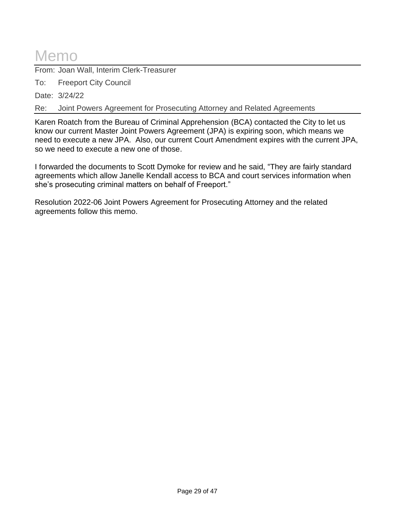## Memo

From: Joan Wall, Interim Clerk-Treasurer

To: Freeport City Council

Date: 3/24/22

Re: Joint Powers Agreement for Prosecuting Attorney and Related Agreements

Karen Roatch from the Bureau of Criminal Apprehension (BCA) contacted the City to let us know our current Master Joint Powers Agreement (JPA) is expiring soon, which means we need to execute a new JPA. Also, our current Court Amendment expires with the current JPA, so we need to execute a new one of those.

I forwarded the documents to Scott Dymoke for review and he said, "They are fairly standard agreements which allow Janelle Kendall access to BCA and court services information when she's prosecuting criminal matters on behalf of Freeport."

Resolution 2022-06 Joint Powers Agreement for Prosecuting Attorney and the related agreements follow this memo.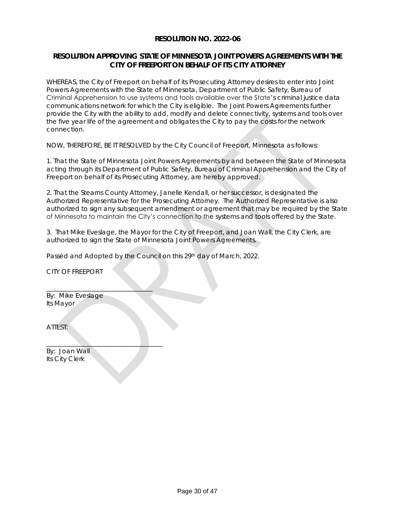#### **RESOLUTION NO. 2022-06**

#### **RESOLUTION APPROVING STATE OF MINNESOTA JOINT POWERS AGREEMENTS WITH THE CITY OF FREEPORT ON BEHALF OF ITS CITY ATTORNEY**

WHEREAS, the City of Freeport on behalf of its Prosecuting Attorney desires to enter into Joint Powers Agreements with the State of Minnesota, Department of Public Safety, Bureau of Criminal Apprehension to use systems and tools available over the State's criminal justice data communications network for which the City is eligible. The Joint Powers Agreements further provide the City with the ability to add, modify and delete connectivity, systems and tools over the five year life of the agreement and obligates the City to pay the costs for the network connection.

NOW, THEREFORE, BE IT RESOLVED by the City Council of Freeport, Minnesota as follows:

1. That the State of Minnesota Joint Powers Agreements by and between the State of Minnesota acting through its Department of Public Safety, Bureau of Criminal Apprehension and the City of Freeport on behalf of its Prosecuting Attorney, are hereby approved.

2. That the Stearns County Attorney, Janelle Kendall, or her successor, is designated the Authorized Representative for the Prosecuting Attorney. The Authorized Representative is also authorized to sign any subsequent amendment or agreement that may be required by the State of Minnesota to maintain the City's connection to the systems and tools offered by the State.

3. That Mike Eveslage, the Mayor for the City of Freeport, and Joan Wall, the City Clerk, are authorized to sign the State of Minnesota Joint Powers Agreements.

Passed and Adopted by the Council on this 29th day of March, 2022.

CITY OF FREEPORT

By: Mike Eveslage Its Mayor

 $\overline{\phantom{a}}$  , where  $\overline{\phantom{a}}$  , where  $\overline{\phantom{a}}$  ,  $\overline{\phantom{a}}$  ,  $\overline{\phantom{a}}$  ,  $\overline{\phantom{a}}$  ,  $\overline{\phantom{a}}$  ,  $\overline{\phantom{a}}$  ,  $\overline{\phantom{a}}$  ,  $\overline{\phantom{a}}$  ,  $\overline{\phantom{a}}$  ,  $\overline{\phantom{a}}$  ,  $\overline{\phantom{a}}$  ,  $\overline{\phantom{a}}$  ,  $\overline{\phantom{a}}$  ,

\_\_\_\_\_\_\_\_\_\_\_\_\_\_\_\_\_\_\_\_\_\_\_\_\_\_\_\_\_\_\_\_\_\_\_\_

ATTEST:

By: Joan Wall Its City Clerk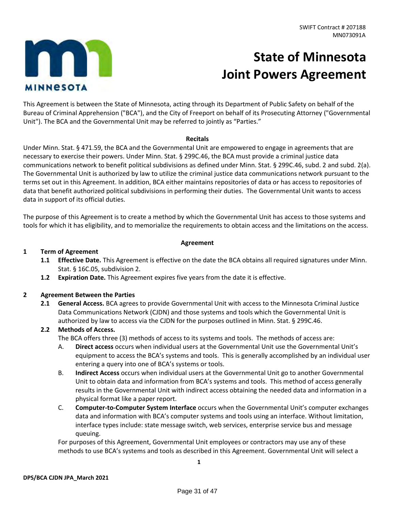# m **MINNESOTA**

## **State of Minnesota Joint Powers Agreement**

This Agreement is between the State of Minnesota, acting through its Department of Public Safety on behalf of the Bureau of Criminal Apprehension ("BCA"), and the City of Freeport on behalf of its Prosecuting Attorney ("Governmental Unit"). The BCA and the Governmental Unit may be referred to jointly as "Parties."

#### **Recitals**

Under Minn. Stat. § 471.59, the BCA and the Governmental Unit are empowered to engage in agreements that are necessary to exercise their powers. Under Minn. Stat. § 299C.46, the BCA must provide a criminal justice data communications network to benefit political subdivisions as defined under Minn. Stat. § 299C.46, subd. 2 and subd. 2(a). The Governmental Unit is authorized by law to utilize the criminal justice data communications network pursuant to the terms set out in this Agreement. In addition, BCA either maintains repositories of data or has access to repositories of data that benefit authorized political subdivisions in performing their duties. The Governmental Unit wants to access data in support of its official duties.

The purpose of this Agreement is to create a method by which the Governmental Unit has access to those systems and tools for which it has eligibility, and to memorialize the requirements to obtain access and the limitations on the access.

#### **Agreement**

#### **1 Term of Agreement**

- **1.1 Effective Date.** This Agreement is effective on the date the BCA obtains all required signatures under Minn. Stat. § 16C.05, subdivision 2.
- **1.2 Expiration Date.** This Agreement expires five years from the date it is effective.

#### **2 Agreement Between the Parties**

**2.1 General Access.** BCA agrees to provide Governmental Unit with access to the Minnesota Criminal Justice Data Communications Network (CJDN) and those systems and tools which the Governmental Unit is authorized by law to access via the CJDN for the purposes outlined in Minn. Stat. § 299C.46.

#### **2.2 Methods of Access.**

The BCA offers three (3) methods of access to its systems and tools. The methods of access are:

- A. **Direct access** occurs when individual users at the Governmental Unit use the Governmental Unit's equipment to access the BCA's systems and tools. This is generally accomplished by an individual user entering a query into one of BCA's systems or tools.
- B. **Indirect Access** occurs when individual users at the Governmental Unit go to another Governmental Unit to obtain data and information from BCA's systems and tools. This method of access generally results in the Governmental Unit with indirect access obtaining the needed data and information in a physical format like a paper report.
- C. **Computer-to-Computer System Interface** occurs when the Governmental Unit's computer exchanges data and information with BCA's computer systems and tools using an interface. Without limitation, interface types include: state message switch, web services, enterprise service bus and message queuing.

For purposes of this Agreement, Governmental Unit employees or contractors may use any of these methods to use BCA's systems and tools as described in this Agreement. Governmental Unit will select a

**1**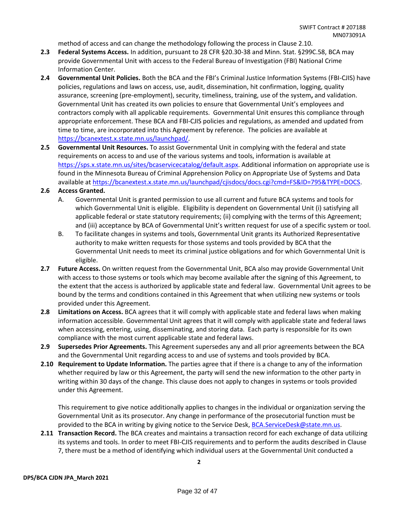method of access and can change the methodology following the process in Clause 2.10.

- **2.3 Federal Systems Access.** In addition, pursuant to 28 CFR §20.30-38 and Minn. Stat. §299C.58, BCA may provide Governmental Unit with access to the Federal Bureau of Investigation (FBI) National Crime Information Center.
- **2.4 Governmental Unit Policies.** Both the BCA and the FBI's Criminal Justice Information Systems (FBI-CJIS) have policies, regulations and laws on access, use, audit, dissemination, hit confirmation, logging, quality assurance, screening (pre-employment), security, timeliness, training, use of the system**,** and validation. Governmental Unit has created its own policies to ensure that Governmental Unit's employees and contractors comply with all applicable requirements. Governmental Unit ensures this compliance through appropriate enforcement. These BCA and FBI-CJIS policies and regulations, as amended and updated from time to time, are incorporated into this Agreement by reference. The policies are available at [https://bcanextest.x.state.mn.us/launchpad/.](https://bcanextest.x.state.mn.us/launchpad/)
- **2.5 Governmental Unit Resources.** To assist Governmental Unit in complying with the federal and state requirements on access to and use of the various systems and tools, information is available at [https://sps.x.state.mn.us/sites/bcaservicecatalog/default.aspx.](https://sps.x.state.mn.us/sites/bcaservicecatalog/default.aspx) Additional information on appropriate use is found in the Minnesota Bureau of Criminal Apprehension Policy on Appropriate Use of Systems and Data available a[t https://bcanextest.x.state.mn.us/launchpad/cjisdocs/docs.cgi?cmd=FS&ID=795&TYPE=DOCS.](https://bcanextest.x.state.mn.us/launchpad/cjisdocs/docs.cgi?cmd=FS&ID=795&TYPE=DOCS)

#### **2.6 Access Granted.**

- A. Governmental Unit is granted permission to use all current and future BCA systems and tools for which Governmental Unit is eligible. Eligibility is dependent on Governmental Unit (i) satisfying all applicable federal or state statutory requirements; (ii) complying with the terms of this Agreement; and (iii) acceptance by BCA of Governmental Unit's written request for use of a specific system or tool.
- B. To facilitate changes in systems and tools, Governmental Unit grants its Authorized Representative authority to make written requests for those systems and tools provided by BCA that the Governmental Unit needs to meet its criminal justice obligations and for which Governmental Unit is eligible.
- **2.7 Future Access.** On written request from the Governmental Unit, BCA also may provide Governmental Unit with access to those systems or tools which may become available after the signing of this Agreement, to the extent that the access is authorized by applicable state and federal law. Governmental Unit agrees to be bound by the terms and conditions contained in this Agreement that when utilizing new systems or tools provided under this Agreement.
- **2.8 Limitations on Access.** BCA agrees that it will comply with applicable state and federal laws when making information accessible. Governmental Unit agrees that it will comply with applicable state and federal laws when accessing, entering, using, disseminating, and storing data. Each party is responsible for its own compliance with the most current applicable state and federal laws.
- **2.9 Supersedes Prior Agreements.** This Agreement supersedes any and all prior agreements between the BCA and the Governmental Unit regarding access to and use of systems and tools provided by BCA.
- **2.10 Requirement to Update Information.** The parties agree that if there is a change to any of the information whether required by law or this Agreement, the party will send the new information to the other party in writing within 30 days of the change. This clause does not apply to changes in systems or tools provided under this Agreement.

This requirement to give notice additionally applies to changes in the individual or organization serving the Governmental Unit as its prosecutor. Any change in performance of the prosecutorial function must be provided to the BCA in writing by giving notice to the Service Desk, [BCA.ServiceDesk@state.mn.us.](mailto:BCA.ServiceDesk@state.mn.us)

**2.11 Transaction Record.** The BCA creates and maintains a transaction record for each exchange of data utilizing its systems and tools. In order to meet FBI-CJIS requirements and to perform the audits described in Clause 7, there must be a method of identifying which individual users at the Governmental Unit conducted a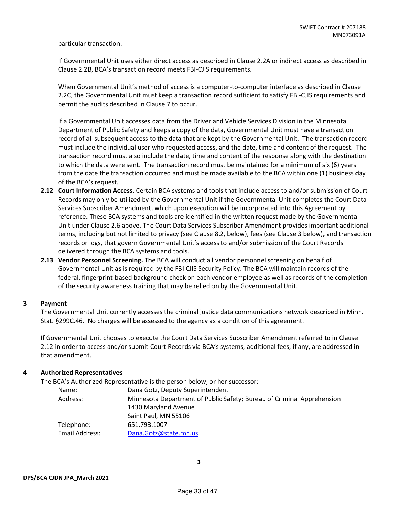particular transaction.

If Governmental Unit uses either direct access as described in Clause 2.2A or indirect access as described in Clause 2.2B, BCA's transaction record meets FBI-CJIS requirements.

When Governmental Unit's method of access is a computer-to-computer interface as described in Clause 2.2C, the Governmental Unit must keep a transaction record sufficient to satisfy FBI-CJIS requirements and permit the audits described in Clause 7 to occur.

If a Governmental Unit accesses data from the Driver and Vehicle Services Division in the Minnesota Department of Public Safety and keeps a copy of the data, Governmental Unit must have a transaction record of all subsequent access to the data that are kept by the Governmental Unit. The transaction record must include the individual user who requested access, and the date, time and content of the request. The transaction record must also include the date, time and content of the response along with the destination to which the data were sent. The transaction record must be maintained for a minimum of six (6) years from the date the transaction occurred and must be made available to the BCA within one (1) business day of the BCA's request.

- **2.12 Court Information Access.** Certain BCA systems and tools that include access to and/or submission of Court Records may only be utilized by the Governmental Unit if the Governmental Unit completes the Court Data Services Subscriber Amendment, which upon execution will be incorporated into this Agreement by reference. These BCA systems and tools are identified in the written request made by the Governmental Unit under Clause 2.6 above. The Court Data Services Subscriber Amendment provides important additional terms, including but not limited to privacy (see Clause 8.2, below), fees (see Clause 3 below), and transaction records or logs, that govern Governmental Unit's access to and/or submission of the Court Records delivered through the BCA systems and tools.
- **2.13 Vendor Personnel Screening.** The BCA will conduct all vendor personnel screening on behalf of Governmental Unit as is required by the FBI CJIS Security Policy. The BCA will maintain records of the federal, fingerprint-based background check on each vendor employee as well as records of the completion of the security awareness training that may be relied on by the Governmental Unit.

#### **3 Payment**

The Governmental Unit currently accesses the criminal justice data communications network described in Minn. Stat. §299C.46. No charges will be assessed to the agency as a condition of this agreement.

If Governmental Unit chooses to execute the Court Data Services Subscriber Amendment referred to in Clause 2.12 in order to access and/or submit Court Records via BCA's systems, additional fees, if any, are addressed in that amendment.

#### **4 Authorized Representatives**

The BCA's Authorized Representative is the person below, or her successor:

| Name:          | Dana Gotz, Deputy Superintendent                                       |
|----------------|------------------------------------------------------------------------|
| Address:       | Minnesota Department of Public Safety; Bureau of Criminal Apprehension |
|                | 1430 Maryland Avenue                                                   |
|                | Saint Paul, MN 55106                                                   |
| Telephone:     | 651.793.1007                                                           |
| Email Address: | Dana.Gotz@state.mn.us                                                  |
|                |                                                                        |

**3**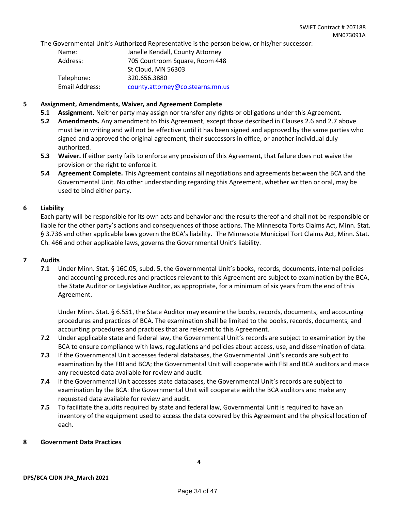The Governmental Unit's Authorized Representative is the person below, or his/her successor:

| Name:          | Janelle Kendall, County Attorney |
|----------------|----------------------------------|
| Address:       | 705 Courtroom Square, Room 448   |
|                | St Cloud, MN 56303               |
| Telephone:     | 320.656.3880                     |
| Email Address: | county.attorney@co.stearns.mn.us |

#### **5 Assignment, Amendments, Waiver, and Agreement Complete**

- **5.1 Assignment.** Neither party may assign nor transfer any rights or obligations under this Agreement.
- **5.2 Amendments.** Any amendment to this Agreement, except those described in Clauses 2.6 and 2.7 above must be in writing and will not be effective until it has been signed and approved by the same parties who signed and approved the original agreement, their successors in office, or another individual duly authorized.
- **5.3 Waiver.** If either party fails to enforce any provision of this Agreement, that failure does not waive the provision or the right to enforce it.
- **5.4 Agreement Complete.** This Agreement contains all negotiations and agreements between the BCA and the Governmental Unit. No other understanding regarding this Agreement, whether written or oral, may be used to bind either party.

#### **6 Liability**

Each party will be responsible for its own acts and behavior and the results thereof and shall not be responsible or liable for the other party's actions and consequences of those actions. The Minnesota Torts Claims Act, Minn. Stat. § 3.736 and other applicable laws govern the BCA's liability. The Minnesota Municipal Tort Claims Act, Minn. Stat. Ch. 466 and other applicable laws, governs the Governmental Unit's liability.

#### **7 Audits**

**7.1** Under Minn. Stat. § 16C.05, subd. 5, the Governmental Unit's books, records, documents, internal policies and accounting procedures and practices relevant to this Agreement are subject to examination by the BCA, the State Auditor or Legislative Auditor, as appropriate, for a minimum of six years from the end of this Agreement.

Under Minn. Stat. § 6.551, the State Auditor may examine the books, records, documents, and accounting procedures and practices of BCA. The examination shall be limited to the books, records, documents, and accounting procedures and practices that are relevant to this Agreement.

- **7.2** Under applicable state and federal law, the Governmental Unit's records are subject to examination by the BCA to ensure compliance with laws, regulations and policies about access, use, and dissemination of data.
- **7.3** If the Governmental Unit accesses federal databases, the Governmental Unit's records are subject to examination by the FBI and BCA; the Governmental Unit will cooperate with FBI and BCA auditors and make any requested data available for review and audit.
- **7.4** If the Governmental Unit accesses state databases, the Governmental Unit's records are subject to examination by the BCA: the Governmental Unit will cooperate with the BCA auditors and make any requested data available for review and audit.
- **7.5** To facilitate the audits required by state and federal law, Governmental Unit is required to have an inventory of the equipment used to access the data covered by this Agreement and the physical location of each.

#### **8 Government Data Practices**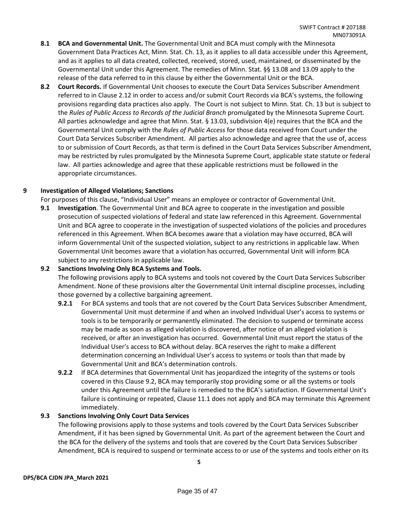- **8.1 BCA and Governmental Unit.** The Governmental Unit and BCA must comply with the Minnesota Government Data Practices Act, Minn. Stat. Ch. 13, as it applies to all data accessible under this Agreement, and as it applies to all data created, collected, received, stored, used, maintained, or disseminated by the Governmental Unit under this Agreement. The remedies of Minn. Stat. §§ 13.08 and 13.09 apply to the release of the data referred to in this clause by either the Governmental Unit or the BCA.
- **8.2 Court Records.** If Governmental Unit chooses to execute the Court Data Services Subscriber Amendment referred to in Clause 2.12 in order to access and/or submit Court Records via BCA's systems, the following provisions regarding data practices also apply. The Court is not subject to Minn. Stat. Ch. 13 but is subject to the *Rules of Public Access to Records of the Judicial Branch* promulgated by the Minnesota Supreme Court. All parties acknowledge and agree that Minn. Stat. § 13.03, subdivision 4(e) requires that the BCA and the Governmental Unit comply with the *Rules of Public Access* for those data received from Court under the Court Data Services Subscriber Amendment. All parties also acknowledge and agree that the use of, access to or submission of Court Records, as that term is defined in the Court Data Services Subscriber Amendment, may be restricted by rules promulgated by the Minnesota Supreme Court, applicable state statute or federal law. All parties acknowledge and agree that these applicable restrictions must be followed in the appropriate circumstances.

#### **9 Investigation of Alleged Violations; Sanctions**

For purposes of this clause, "Individual User" means an employee or contractor of Governmental Unit.

**9.1 Investigation**. The Governmental Unit and BCA agree to cooperate in the investigation and possible prosecution of suspected violations of federal and state law referenced in this Agreement. Governmental Unit and BCA agree to cooperate in the investigation of suspected violations of the policies and procedures referenced in this Agreement. When BCA becomes aware that a violation may have occurred, BCA will inform Governmental Unit of the suspected violation, subject to any restrictions in applicable law. When Governmental Unit becomes aware that a violation has occurred, Governmental Unit will inform BCA subject to any restrictions in applicable law.

#### **9.2 Sanctions Involving Only BCA Systems and Tools.**

The following provisions apply to BCA systems and tools not covered by the Court Data Services Subscriber Amendment. None of these provisions alter the Governmental Unit internal discipline processes, including those governed by a collective bargaining agreement.

- **9.2.1** For BCA systems and tools that are not covered by the Court Data Services Subscriber Amendment, Governmental Unit must determine if and when an involved Individual User's access to systems or tools is to be temporarily or permanently eliminated. The decision to suspend or terminate access may be made as soon as alleged violation is discovered, after notice of an alleged violation is received, or after an investigation has occurred. Governmental Unit must report the status of the Individual User's access to BCA without delay. BCA reserves the right to make a different determination concerning an Individual User's access to systems or tools than that made by Governmental Unit and BCA's determination controls.
- **9.2.2** If BCA determines that Governmental Unit has jeopardized the integrity of the systems or tools covered in this Clause 9.2, BCA may temporarily stop providing some or all the systems or tools under this Agreement until the failure is remedied to the BCA's satisfaction. If Governmental Unit's failure is continuing or repeated, Clause 11.1 does not apply and BCA may terminate this Agreement immediately.

#### **9.3 Sanctions Involving Only Court Data Services**

The following provisions apply to those systems and tools covered by the Court Data Services Subscriber Amendment, if it has been signed by Governmental Unit. As part of the agreement between the Court and the BCA for the delivery of the systems and tools that are covered by the Court Data Services Subscriber Amendment, BCA is required to suspend or terminate access to or use of the systems and tools either on its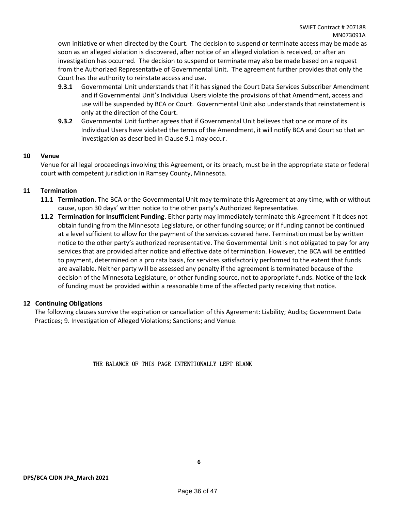own initiative or when directed by the Court. The decision to suspend or terminate access may be made as soon as an alleged violation is discovered, after notice of an alleged violation is received, or after an investigation has occurred. The decision to suspend or terminate may also be made based on a request from the Authorized Representative of Governmental Unit. The agreement further provides that only the Court has the authority to reinstate access and use.

- **9.3.1** Governmental Unit understands that if it has signed the Court Data Services Subscriber Amendment and if Governmental Unit's Individual Users violate the provisions of that Amendment, access and use will be suspended by BCA or Court. Governmental Unit also understands that reinstatement is only at the direction of the Court.
- **9.3.2** Governmental Unit further agrees that if Governmental Unit believes that one or more of its Individual Users have violated the terms of the Amendment, it will notify BCA and Court so that an investigation as described in Clause 9.1 may occur.

#### **10 Venue**

Venue for all legal proceedings involving this Agreement, or its breach, must be in the appropriate state or federal court with competent jurisdiction in Ramsey County, Minnesota.

#### **11 Termination**

- **11.1 Termination.** The BCA or the Governmental Unit may terminate this Agreement at any time, with or without cause, upon 30 days' written notice to the other party's Authorized Representative.
- **11.2 Termination for Insufficient Funding**. Either party may immediately terminate this Agreement if it does not obtain funding from the Minnesota Legislature, or other funding source; or if funding cannot be continued at a level sufficient to allow for the payment of the services covered here. Termination must be by written notice to the other party's authorized representative. The Governmental Unit is not obligated to pay for any services that are provided after notice and effective date of termination. However, the BCA will be entitled to payment, determined on a pro rata basis, for services satisfactorily performed to the extent that funds are available. Neither party will be assessed any penalty if the agreement is terminated because of the decision of the Minnesota Legislature, or other funding source, not to appropriate funds. Notice of the lack of funding must be provided within a reasonable time of the affected party receiving that notice.

#### **12 Continuing Obligations**

The following clauses survive the expiration or cancellation of this Agreement: Liability; Audits; Government Data Practices; 9. Investigation of Alleged Violations; Sanctions; and Venue.

#### THE BALANCE OF THIS PAGE INTENTIONALLY LEFT BLANK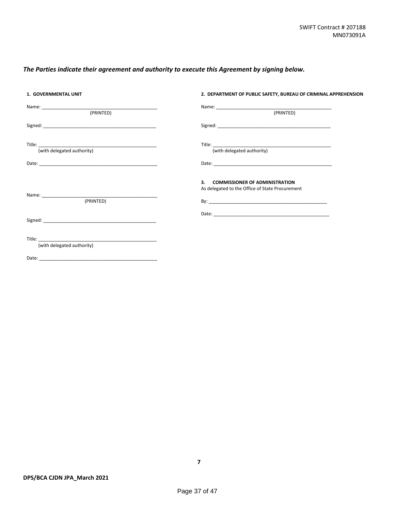#### *The Parties indicate their agreement and authority to execute this Agreement by signing below.*

| 1. GOVERNMENTAL UNIT                     | 2. DEPARTMENT OF PUBLIC SAFETY, BUREAU OF CRIMINAL APPREHENSION                                                                                                                                                                |
|------------------------------------------|--------------------------------------------------------------------------------------------------------------------------------------------------------------------------------------------------------------------------------|
| (PRINTED)                                | (PRINTED)                                                                                                                                                                                                                      |
|                                          | Signed: example, and the state of the state of the state of the state of the state of the state of the state of the state of the state of the state of the state of the state of the state of the state of the state of the st |
| Title: <u>(with delegated authority)</u> | Title: <u>(with delegated authority)</u>                                                                                                                                                                                       |
|                                          |                                                                                                                                                                                                                                |
| (PRINTED)                                | 3. COMMISSIONER OF ADMINISTRATION<br>As delegated to the Office of State Procurement                                                                                                                                           |
|                                          |                                                                                                                                                                                                                                |
| (with delegated authority)               |                                                                                                                                                                                                                                |
|                                          |                                                                                                                                                                                                                                |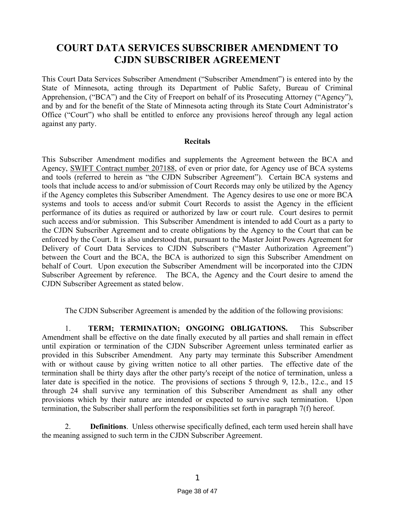### **COURT DATA SERVICES SUBSCRIBER AMENDMENT TO CJDN SUBSCRIBER AGREEMENT**

This Court Data Services Subscriber Amendment ("Subscriber Amendment") is entered into by the State of Minnesota, acting through its Department of Public Safety, Bureau of Criminal Apprehension, ("BCA") and the City of Freeport on behalf of its Prosecuting Attorney ("Agency"), and by and for the benefit of the State of Minnesota acting through its State Court Administrator's Office ("Court") who shall be entitled to enforce any provisions hereof through any legal action against any party.

#### **Recitals**

This Subscriber Amendment modifies and supplements the Agreement between the BCA and Agency, SWIFT Contract number 207188, of even or prior date, for Agency use of BCA systems and tools (referred to herein as "the CJDN Subscriber Agreement"). Certain BCA systems and tools that include access to and/or submission of Court Records may only be utilized by the Agency if the Agency completes this Subscriber Amendment. The Agency desires to use one or more BCA systems and tools to access and/or submit Court Records to assist the Agency in the efficient performance of its duties as required or authorized by law or court rule. Court desires to permit such access and/or submission. This Subscriber Amendment is intended to add Court as a party to the CJDN Subscriber Agreement and to create obligations by the Agency to the Court that can be enforced by the Court. It is also understood that, pursuant to the Master Joint Powers Agreement for Delivery of Court Data Services to CJDN Subscribers ("Master Authorization Agreement") between the Court and the BCA, the BCA is authorized to sign this Subscriber Amendment on behalf of Court. Upon execution the Subscriber Amendment will be incorporated into the CJDN Subscriber Agreement by reference. The BCA, the Agency and the Court desire to amend the CJDN Subscriber Agreement as stated below.

The CJDN Subscriber Agreement is amended by the addition of the following provisions:

1. **TERM; TERMINATION; ONGOING OBLIGATIONS.** This Subscriber Amendment shall be effective on the date finally executed by all parties and shall remain in effect until expiration or termination of the CJDN Subscriber Agreement unless terminated earlier as provided in this Subscriber Amendment. Any party may terminate this Subscriber Amendment with or without cause by giving written notice to all other parties. The effective date of the termination shall be thirty days after the other party's receipt of the notice of termination, unless a later date is specified in the notice. The provisions of sections 5 through 9, 12.b., 12.c., and 15 through 24 shall survive any termination of this Subscriber Amendment as shall any other provisions which by their nature are intended or expected to survive such termination. Upon termination, the Subscriber shall perform the responsibilities set forth in paragraph 7(f) hereof.

2. **Definitions**. Unless otherwise specifically defined, each term used herein shall have the meaning assigned to such term in the CJDN Subscriber Agreement.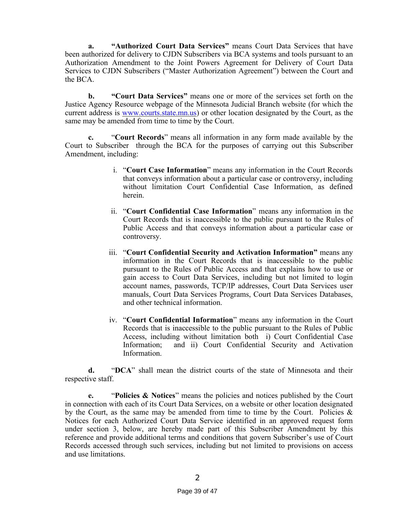**a. "Authorized Court Data Services"** means Court Data Services that have been authorized for delivery to CJDN Subscribers via BCA systems and tools pursuant to an Authorization Amendment to the Joint Powers Agreement for Delivery of Court Data Services to CJDN Subscribers ("Master Authorization Agreement") between the Court and the BCA.

**b. "Court Data Services"** means one or more of the services set forth on the Justice Agency Resource webpage of the Minnesota Judicial Branch website (for which the current address is [www.courts.state.mn.us\)](http://www.courts.state.mn.us/) or other location designated by the Court, as the same may be amended from time to time by the Court.

**c.** "**Court Records**" means all information in any form made available by the Court to Subscriber through the BCA for the purposes of carrying out this Subscriber Amendment, including:

- i. "**Court Case Information**" means any information in the Court Records that conveys information about a particular case or controversy, including without limitation Court Confidential Case Information, as defined herein.
- ii. "**Court Confidential Case Information**" means any information in the Court Records that is inaccessible to the public pursuant to the Rules of Public Access and that conveys information about a particular case or controversy.
- iii. "**Court Confidential Security and Activation Information"** means any information in the Court Records that is inaccessible to the public pursuant to the Rules of Public Access and that explains how to use or gain access to Court Data Services, including but not limited to login account names, passwords, TCP/IP addresses, Court Data Services user manuals, Court Data Services Programs, Court Data Services Databases, and other technical information.
- iv. "**Court Confidential Information**" means any information in the Court Records that is inaccessible to the public pursuant to the Rules of Public Access, including without limitation both i) Court Confidential Case Information; and ii) Court Confidential Security and Activation Information.

**d.** "**DCA**" shall mean the district courts of the state of Minnesota and their respective staff.

**e.** "**Policies & Notices**" means the policies and notices published by the Court in connection with each of its Court Data Services, on a website or other location designated by the Court, as the same may be amended from time to time by the Court. Policies  $\&$ Notices for each Authorized Court Data Service identified in an approved request form under section 3, below, are hereby made part of this Subscriber Amendment by this reference and provide additional terms and conditions that govern Subscriber's use of Court Records accessed through such services, including but not limited to provisions on access and use limitations.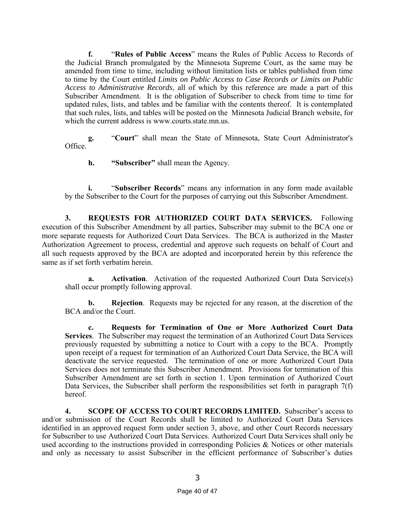**f.** "**Rules of Public Access**" means the Rules of Public Access to Records of the Judicial Branch promulgated by the Minnesota Supreme Court, as the same may be amended from time to time, including without limitation lists or tables published from time to time by the Court entitled *Limits on Public Access to Case Records or Limits on Public Access to Administrative Records*, all of which by this reference are made a part of this Subscriber Amendment. It is the obligation of Subscriber to check from time to time for updated rules, lists, and tables and be familiar with the contents thereof. It is contemplated that such rules, lists, and tables will be posted on the Minnesota Judicial Branch website, for which the current address is www.courts.state.mn.us.

**g.** "**Court**" shall mean the State of Minnesota, State Court Administrator's Office.

**h. "Subscriber"** shall mean the Agency.

**i.** "**Subscriber Records**" means any information in any form made available by the Subscriber to the Court for the purposes of carrying out this Subscriber Amendment.

**3. REQUESTS FOR AUTHORIZED COURT DATA SERVICES.** Following execution of this Subscriber Amendment by all parties, Subscriber may submit to the BCA one or more separate requests for Authorized Court Data Services. The BCA is authorized in the Master Authorization Agreement to process, credential and approve such requests on behalf of Court and all such requests approved by the BCA are adopted and incorporated herein by this reference the same as if set forth verbatim herein.

**a. Activation**. Activation of the requested Authorized Court Data Service(s) shall occur promptly following approval.

**b. Rejection**. Requests may be rejected for any reason, at the discretion of the BCA and/or the Court.

**c. Requests for Termination of One or More Authorized Court Data Services**. The Subscriber may request the termination of an Authorized Court Data Services previously requested by submitting a notice to Court with a copy to the BCA. Promptly upon receipt of a request for termination of an Authorized Court Data Service, the BCA will deactivate the service requested. The termination of one or more Authorized Court Data Services does not terminate this Subscriber Amendment. Provisions for termination of this Subscriber Amendment are set forth in section 1. Upon termination of Authorized Court Data Services, the Subscriber shall perform the responsibilities set forth in paragraph 7(f) hereof.

**4. SCOPE OF ACCESS TO COURT RECORDS LIMITED.** Subscriber's access to and/or submission of the Court Records shall be limited to Authorized Court Data Services identified in an approved request form under section 3, above, and other Court Records necessary for Subscriber to use Authorized Court Data Services. Authorized Court Data Services shall only be used according to the instructions provided in corresponding Policies & Notices or other materials and only as necessary to assist Subscriber in the efficient performance of Subscriber's duties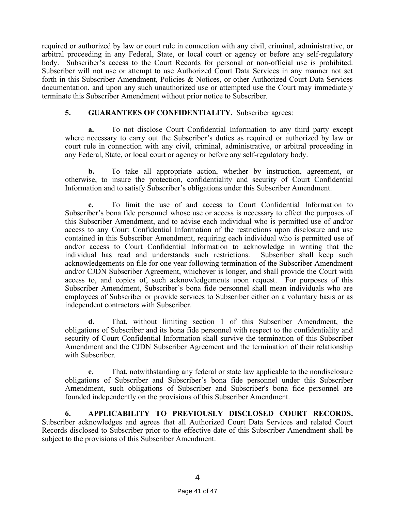required or authorized by law or court rule in connection with any civil, criminal, administrative, or arbitral proceeding in any Federal, State, or local court or agency or before any self-regulatory body. Subscriber's access to the Court Records for personal or non-official use is prohibited. Subscriber will not use or attempt to use Authorized Court Data Services in any manner not set forth in this Subscriber Amendment, Policies & Notices, or other Authorized Court Data Services documentation, and upon any such unauthorized use or attempted use the Court may immediately terminate this Subscriber Amendment without prior notice to Subscriber.

#### **5. GUARANTEES OF CONFIDENTIALITY.** Subscriber agrees:

**a.** To not disclose Court Confidential Information to any third party except where necessary to carry out the Subscriber's duties as required or authorized by law or court rule in connection with any civil, criminal, administrative, or arbitral proceeding in any Federal, State, or local court or agency or before any self-regulatory body.

**b.** To take all appropriate action, whether by instruction, agreement, or otherwise, to insure the protection, confidentiality and security of Court Confidential Information and to satisfy Subscriber's obligations under this Subscriber Amendment.

**c.** To limit the use of and access to Court Confidential Information to Subscriber's bona fide personnel whose use or access is necessary to effect the purposes of this Subscriber Amendment, and to advise each individual who is permitted use of and/or access to any Court Confidential Information of the restrictions upon disclosure and use contained in this Subscriber Amendment, requiring each individual who is permitted use of and/or access to Court Confidential Information to acknowledge in writing that the individual has read and understands such restrictions. Subscriber shall keep such acknowledgements on file for one year following termination of the Subscriber Amendment and/or CJDN Subscriber Agreement, whichever is longer, and shall provide the Court with access to, and copies of, such acknowledgements upon request. For purposes of this Subscriber Amendment, Subscriber's bona fide personnel shall mean individuals who are employees of Subscriber or provide services to Subscriber either on a voluntary basis or as independent contractors with Subscriber.

**d.** That, without limiting section 1 of this Subscriber Amendment, the obligations of Subscriber and its bona fide personnel with respect to the confidentiality and security of Court Confidential Information shall survive the termination of this Subscriber Amendment and the CJDN Subscriber Agreement and the termination of their relationship with Subscriber.

**e.** That, notwithstanding any federal or state law applicable to the nondisclosure obligations of Subscriber and Subscriber's bona fide personnel under this Subscriber Amendment, such obligations of Subscriber and Subscriber's bona fide personnel are founded independently on the provisions of this Subscriber Amendment.

**6. APPLICABILITY TO PREVIOUSLY DISCLOSED COURT RECORDS.** Subscriber acknowledges and agrees that all Authorized Court Data Services and related Court Records disclosed to Subscriber prior to the effective date of this Subscriber Amendment shall be subject to the provisions of this Subscriber Amendment.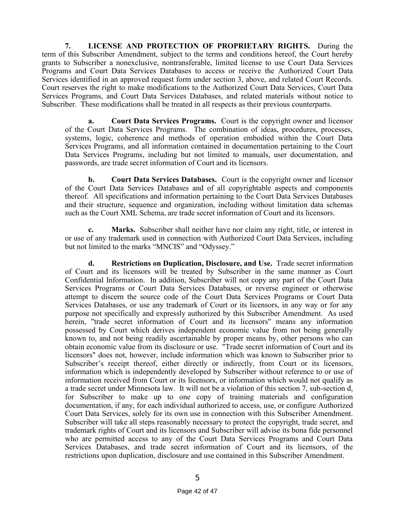**7. LICENSE AND PROTECTION OF PROPRIETARY RIGHTS.** During the term of this Subscriber Amendment, subject to the terms and conditions hereof, the Court hereby grants to Subscriber a nonexclusive, nontransferable, limited license to use Court Data Services Programs and Court Data Services Databases to access or receive the Authorized Court Data Services identified in an approved request form under section 3, above, and related Court Records. Court reserves the right to make modifications to the Authorized Court Data Services, Court Data Services Programs, and Court Data Services Databases, and related materials without notice to Subscriber. These modifications shall be treated in all respects as their previous counterparts.

**a. Court Data Services Programs.** Court is the copyright owner and licensor of the Court Data Services Programs. The combination of ideas, procedures, processes, systems, logic, coherence and methods of operation embodied within the Court Data Services Programs, and all information contained in documentation pertaining to the Court Data Services Programs, including but not limited to manuals, user documentation, and passwords, are trade secret information of Court and its licensors.

**b. Court Data Services Databases.** Court is the copyright owner and licensor of the Court Data Services Databases and of all copyrightable aspects and components thereof. All specifications and information pertaining to the Court Data Services Databases and their structure, sequence and organization, including without limitation data schemas such as the Court XML Schema, are trade secret information of Court and its licensors.

**c. Marks.** Subscriber shall neither have nor claim any right, title, or interest in or use of any trademark used in connection with Authorized Court Data Services, including but not limited to the marks "MNCIS" and "Odyssey."

**d. Restrictions on Duplication, Disclosure, and Use.** Trade secret information of Court and its licensors will be treated by Subscriber in the same manner as Court Confidential Information. In addition, Subscriber will not copy any part of the Court Data Services Programs or Court Data Services Databases, or reverse engineer or otherwise attempt to discern the source code of the Court Data Services Programs or Court Data Services Databases, or use any trademark of Court or its licensors, in any way or for any purpose not specifically and expressly authorized by this Subscriber Amendment. As used herein, "trade secret information of Court and its licensors" means any information possessed by Court which derives independent economic value from not being generally known to, and not being readily ascertainable by proper means by, other persons who can obtain economic value from its disclosure or use. "Trade secret information of Court and its licensors" does not, however, include information which was known to Subscriber prior to Subscriber's receipt thereof, either directly or indirectly, from Court or its licensors, information which is independently developed by Subscriber without reference to or use of information received from Court or its licensors, or information which would not qualify as a trade secret under Minnesota law. It will not be a violation of this section 7, sub-section d, for Subscriber to make up to one copy of training materials and configuration documentation, if any, for each individual authorized to access, use, or configure Authorized Court Data Services, solely for its own use in connection with this Subscriber Amendment. Subscriber will take all steps reasonably necessary to protect the copyright, trade secret, and trademark rights of Court and its licensors and Subscriber will advise its bona fide personnel who are permitted access to any of the Court Data Services Programs and Court Data Services Databases, and trade secret information of Court and its licensors, of the restrictions upon duplication, disclosure and use contained in this Subscriber Amendment.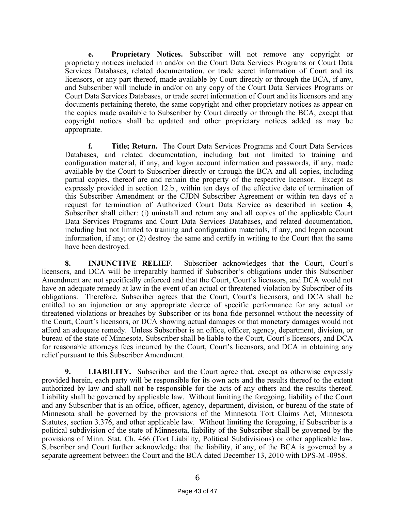**e. Proprietary Notices.** Subscriber will not remove any copyright or proprietary notices included in and/or on the Court Data Services Programs or Court Data Services Databases, related documentation, or trade secret information of Court and its licensors, or any part thereof, made available by Court directly or through the BCA, if any, and Subscriber will include in and/or on any copy of the Court Data Services Programs or Court Data Services Databases, or trade secret information of Court and its licensors and any documents pertaining thereto, the same copyright and other proprietary notices as appear on the copies made available to Subscriber by Court directly or through the BCA, except that copyright notices shall be updated and other proprietary notices added as may be appropriate.

**f. Title; Return.** The Court Data Services Programs and Court Data Services Databases, and related documentation, including but not limited to training and configuration material, if any, and logon account information and passwords, if any, made available by the Court to Subscriber directly or through the BCA and all copies, including partial copies, thereof are and remain the property of the respective licensor. Except as expressly provided in section 12.b., within ten days of the effective date of termination of this Subscriber Amendment or the CJDN Subscriber Agreement or within ten days of a request for termination of Authorized Court Data Service as described in section 4, Subscriber shall either: (i) uninstall and return any and all copies of the applicable Court Data Services Programs and Court Data Services Databases, and related documentation, including but not limited to training and configuration materials, if any, and logon account information, if any; or (2) destroy the same and certify in writing to the Court that the same have been destroyed.

**8. INJUNCTIVE RELIEF**. Subscriber acknowledges that the Court, Court's licensors, and DCA will be irreparably harmed if Subscriber's obligations under this Subscriber Amendment are not specifically enforced and that the Court, Court's licensors, and DCA would not have an adequate remedy at law in the event of an actual or threatened violation by Subscriber of its obligations. Therefore, Subscriber agrees that the Court, Court's licensors, and DCA shall be entitled to an injunction or any appropriate decree of specific performance for any actual or threatened violations or breaches by Subscriber or its bona fide personnel without the necessity of the Court, Court's licensors, or DCA showing actual damages or that monetary damages would not afford an adequate remedy. Unless Subscriber is an office, officer, agency, department, division, or bureau of the state of Minnesota, Subscriber shall be liable to the Court, Court's licensors, and DCA for reasonable attorneys fees incurred by the Court, Court's licensors, and DCA in obtaining any relief pursuant to this Subscriber Amendment.

**9. LIABILITY.** Subscriber and the Court agree that, except as otherwise expressly provided herein, each party will be responsible for its own acts and the results thereof to the extent authorized by law and shall not be responsible for the acts of any others and the results thereof. Liability shall be governed by applicable law. Without limiting the foregoing, liability of the Court and any Subscriber that is an office, officer, agency, department, division, or bureau of the state of Minnesota shall be governed by the provisions of the Minnesota Tort Claims Act, Minnesota Statutes, section 3.376, and other applicable law. Without limiting the foregoing, if Subscriber is a political subdivision of the state of Minnesota, liability of the Subscriber shall be governed by the provisions of Minn. Stat. Ch. 466 (Tort Liability, Political Subdivisions) or other applicable law. Subscriber and Court further acknowledge that the liability, if any, of the BCA is governed by a separate agreement between the Court and the BCA dated December 13, 2010 with DPS-M -0958.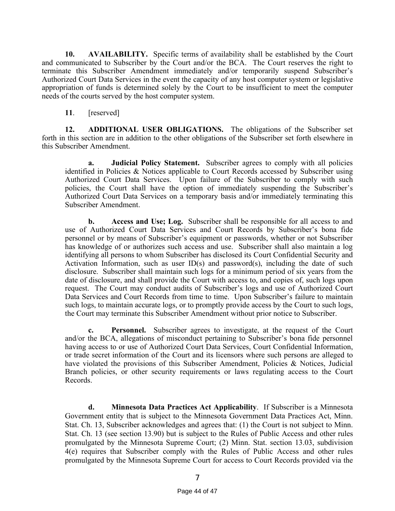**10. AVAILABILITY.** Specific terms of availability shall be established by the Court and communicated to Subscriber by the Court and/or the BCA. The Court reserves the right to terminate this Subscriber Amendment immediately and/or temporarily suspend Subscriber's Authorized Court Data Services in the event the capacity of any host computer system or legislative appropriation of funds is determined solely by the Court to be insufficient to meet the computer needs of the courts served by the host computer system.

**11**. [reserved]

**12. ADDITIONAL USER OBLIGATIONS.** The obligations of the Subscriber set forth in this section are in addition to the other obligations of the Subscriber set forth elsewhere in this Subscriber Amendment.

**a. Judicial Policy Statement.** Subscriber agrees to comply with all policies identified in Policies & Notices applicable to Court Records accessed by Subscriber using Authorized Court Data Services. Upon failure of the Subscriber to comply with such policies, the Court shall have the option of immediately suspending the Subscriber's Authorized Court Data Services on a temporary basis and/or immediately terminating this Subscriber Amendment.

**b. Access and Use; Log.** Subscriber shall be responsible for all access to and use of Authorized Court Data Services and Court Records by Subscriber's bona fide personnel or by means of Subscriber's equipment or passwords, whether or not Subscriber has knowledge of or authorizes such access and use. Subscriber shall also maintain a log identifying all persons to whom Subscriber has disclosed its Court Confidential Security and Activation Information, such as user  $ID(s)$  and password(s), including the date of such disclosure. Subscriber shall maintain such logs for a minimum period of six years from the date of disclosure, and shall provide the Court with access to, and copies of, such logs upon request. The Court may conduct audits of Subscriber's logs and use of Authorized Court Data Services and Court Records from time to time. Upon Subscriber's failure to maintain such logs, to maintain accurate logs, or to promptly provide access by the Court to such logs, the Court may terminate this Subscriber Amendment without prior notice to Subscriber.

**c. Personnel.** Subscriber agrees to investigate, at the request of the Court and/or the BCA, allegations of misconduct pertaining to Subscriber's bona fide personnel having access to or use of Authorized Court Data Services, Court Confidential Information, or trade secret information of the Court and its licensors where such persons are alleged to have violated the provisions of this Subscriber Amendment, Policies & Notices, Judicial Branch policies, or other security requirements or laws regulating access to the Court Records.

**d. Minnesota Data Practices Act Applicability**. If Subscriber is a Minnesota Government entity that is subject to the Minnesota Government Data Practices Act, Minn. Stat. Ch. 13, Subscriber acknowledges and agrees that: (1) the Court is not subject to Minn. Stat. Ch. 13 (see section 13.90) but is subject to the Rules of Public Access and other rules promulgated by the Minnesota Supreme Court; (2) Minn. Stat. section 13.03, subdivision 4(e) requires that Subscriber comply with the Rules of Public Access and other rules promulgated by the Minnesota Supreme Court for access to Court Records provided via the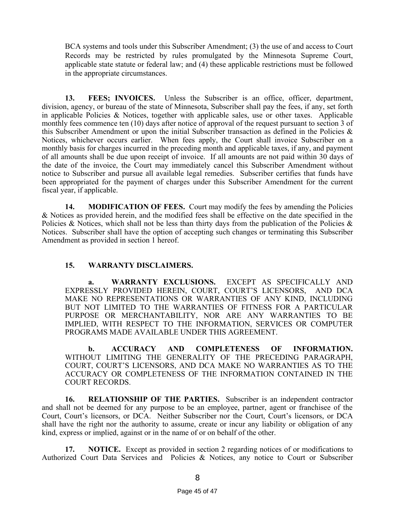BCA systems and tools under this Subscriber Amendment; (3) the use of and access to Court Records may be restricted by rules promulgated by the Minnesota Supreme Court, applicable state statute or federal law; and (4) these applicable restrictions must be followed in the appropriate circumstances.

**13. FEES; INVOICES.** Unless the Subscriber is an office, officer, department, division, agency, or bureau of the state of Minnesota, Subscriber shall pay the fees, if any, set forth in applicable Policies & Notices, together with applicable sales, use or other taxes. Applicable monthly fees commence ten (10) days after notice of approval of the request pursuant to section 3 of this Subscriber Amendment or upon the initial Subscriber transaction as defined in the Policies  $\&$ Notices, whichever occurs earlier. When fees apply, the Court shall invoice Subscriber on a monthly basis for charges incurred in the preceding month and applicable taxes, if any, and payment of all amounts shall be due upon receipt of invoice. If all amounts are not paid within 30 days of the date of the invoice, the Court may immediately cancel this Subscriber Amendment without notice to Subscriber and pursue all available legal remedies. Subscriber certifies that funds have been appropriated for the payment of charges under this Subscriber Amendment for the current fiscal year, if applicable.

**14. MODIFICATION OF FEES.** Court may modify the fees by amending the Policies & Notices as provided herein, and the modified fees shall be effective on the date specified in the Policies & Notices, which shall not be less than thirty days from the publication of the Policies  $\&$ Notices. Subscriber shall have the option of accepting such changes or terminating this Subscriber Amendment as provided in section 1 hereof.

#### **15. WARRANTY DISCLAIMERS.**

**a. WARRANTY EXCLUSIONS.** EXCEPT AS SPECIFICALLY AND EXPRESSLY PROVIDED HEREIN, COURT, COURT'S LICENSORS, AND DCA MAKE NO REPRESENTATIONS OR WARRANTIES OF ANY KIND, INCLUDING BUT NOT LIMITED TO THE WARRANTIES OF FITNESS FOR A PARTICULAR PURPOSE OR MERCHANTABILITY, NOR ARE ANY WARRANTIES TO BE IMPLIED, WITH RESPECT TO THE INFORMATION, SERVICES OR COMPUTER PROGRAMS MADE AVAILABLE UNDER THIS AGREEMENT.

**b. ACCURACY AND COMPLETENESS OF INFORMATION.** WITHOUT LIMITING THE GENERALITY OF THE PRECEDING PARAGRAPH, COURT, COURT'S LICENSORS, AND DCA MAKE NO WARRANTIES AS TO THE ACCURACY OR COMPLETENESS OF THE INFORMATION CONTAINED IN THE COURT RECORDS.

**16. RELATIONSHIP OF THE PARTIES.** Subscriber is an independent contractor and shall not be deemed for any purpose to be an employee, partner, agent or franchisee of the Court, Court's licensors, or DCA. Neither Subscriber nor the Court, Court's licensors, or DCA shall have the right nor the authority to assume, create or incur any liability or obligation of any kind, express or implied, against or in the name of or on behalf of the other.

**17. NOTICE.** Except as provided in section 2 regarding notices of or modifications to Authorized Court Data Services and Policies & Notices, any notice to Court or Subscriber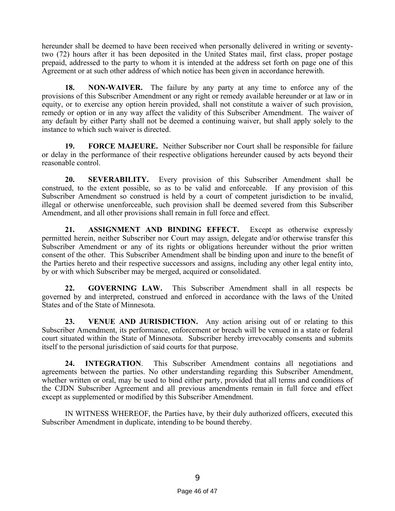hereunder shall be deemed to have been received when personally delivered in writing or seventytwo (72) hours after it has been deposited in the United States mail, first class, proper postage prepaid, addressed to the party to whom it is intended at the address set forth on page one of this Agreement or at such other address of which notice has been given in accordance herewith.

**18. NON-WAIVER.** The failure by any party at any time to enforce any of the provisions of this Subscriber Amendment or any right or remedy available hereunder or at law or in equity, or to exercise any option herein provided, shall not constitute a waiver of such provision, remedy or option or in any way affect the validity of this Subscriber Amendment. The waiver of any default by either Party shall not be deemed a continuing waiver, but shall apply solely to the instance to which such waiver is directed.

**19. FORCE MAJEURE.** Neither Subscriber nor Court shall be responsible for failure or delay in the performance of their respective obligations hereunder caused by acts beyond their reasonable control.

**20. SEVERABILITY.** Every provision of this Subscriber Amendment shall be construed, to the extent possible, so as to be valid and enforceable. If any provision of this Subscriber Amendment so construed is held by a court of competent jurisdiction to be invalid, illegal or otherwise unenforceable, such provision shall be deemed severed from this Subscriber Amendment, and all other provisions shall remain in full force and effect.

**21. ASSIGNMENT AND BINDING EFFECT.** Except as otherwise expressly permitted herein, neither Subscriber nor Court may assign, delegate and/or otherwise transfer this Subscriber Amendment or any of its rights or obligations hereunder without the prior written consent of the other. This Subscriber Amendment shall be binding upon and inure to the benefit of the Parties hereto and their respective successors and assigns, including any other legal entity into, by or with which Subscriber may be merged, acquired or consolidated.

**22. GOVERNING LAW.** This Subscriber Amendment shall in all respects be governed by and interpreted, construed and enforced in accordance with the laws of the United States and of the State of Minnesota.

**23. VENUE AND JURISDICTION.** Any action arising out of or relating to this Subscriber Amendment, its performance, enforcement or breach will be venued in a state or federal court situated within the State of Minnesota. Subscriber hereby irrevocably consents and submits itself to the personal jurisdiction of said courts for that purpose.

**24. INTEGRATION**. This Subscriber Amendment contains all negotiations and agreements between the parties. No other understanding regarding this Subscriber Amendment, whether written or oral, may be used to bind either party, provided that all terms and conditions of the CJDN Subscriber Agreement and all previous amendments remain in full force and effect except as supplemented or modified by this Subscriber Amendment.

IN WITNESS WHEREOF, the Parties have, by their duly authorized officers, executed this Subscriber Amendment in duplicate, intending to be bound thereby.